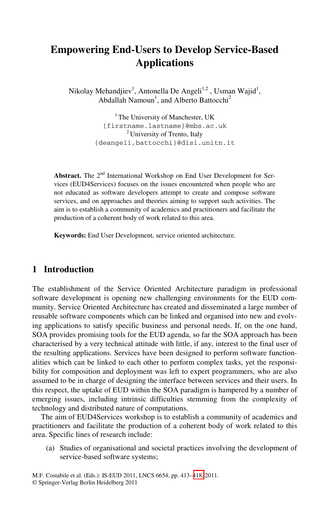# **Empowering End-Users to Develop Service-Based Applications**

Nikolay Mehandjiev<sup>1</sup>, Antonella De Angeli<sup>1,2</sup>, Usman Wajid<sup>1</sup>, Abdallah Namoun<sup>1</sup>, and Alberto Battocchi<sup>2</sup>

> <sup>1</sup> The University of Manchester, UK {firstname.lastname}@mbs.ac.uk <sup>2</sup> University of Trento, Italy {deangeli,battocchi}@disi.unitn.it

Abstract. The 2<sup>nd</sup> International Workshop on End User Development for Services (EUD4Services) focuses on the issues encountered when people who are not educated as software developers attempt to create and compose software services, and on approaches and theories aiming to support such activities. The aim is to establish a community of academics and practitioners and facilitate the production of a coherent body of work related to this area.

**Keywords:** End User Development, service oriented architecture.

### **1 Introduction**

The establishment of the Service Oriented Architecture paradigm in professional software development is opening new challenging environments for the EUD community. Service Oriented Architecture has created and disseminated a large number of reusable software components which can be linked and organised into new and evolving applications to satisfy specific business and personal needs. If, on the one hand, SOA provides promising tools for the EUD agenda, so far the SOA approach has been characterised by a very technical attitude with little, if any, interest to the final user of the resulting applications. Services have been designed to perform software functionalities which can be linked to each other to perform complex tasks, yet the responsibility for composition and deployment was left to expert programmers, who are also assumed to be in charge of designing the interface between services and their users. In this respect, the uptake of EUD within the SOA paradigm is hampered by a number of emerging issues, including intrinsic difficulties stemming from the complexity of technology and distributed nature of computations.

The aim of EUD4Services workshop is to establish a community of academics and practitioners and facilitate the production of a coherent body of work related to this area. Specific lines of research include:

(a) Studies of organisational and societal practices involving the development of service-based software systems;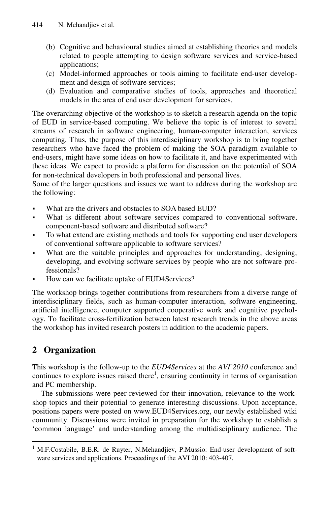- (b) Cognitive and behavioural studies aimed at establishing theories and models related to people attempting to design software services and service-based applications;
- (c) Model-informed approaches or tools aiming to facilitate end-user development and design of software services;
- (d) Evaluation and comparative studies of tools, approaches and theoretical models in the area of end user development for services.

The overarching objective of the workshop is to sketch a research agenda on the topic of EUD in service-based computing. We believe the topic is of interest to several streams of research in software engineering, human-computer interaction, services computing. Thus, the purpose of this interdisciplinary workshop is to bring together researchers who have faced the problem of making the SOA paradigm available to end-users, might have some ideas on how to facilitate it, and have experimented with these ideas. We expect to provide a platform for discussion on the potential of SOA for non-technical developers in both professional and personal lives.

Some of the larger questions and issues we want to address during the workshop are the following:

- What are the drivers and obstacles to SOA based EUD?
- What is different about software services compared to conventional software, component-based software and distributed software?
- To what extend are existing methods and tools for supporting end user developers of conventional software applicable to software services?
- What are the suitable principles and approaches for understanding, designing, developing, and evolving software services by people who are not software professionals?
- How can we facilitate uptake of EUD4Services?

The workshop brings together contributions from researchers from a diverse range of interdisciplinary fields, such as human-computer interaction, software engineering, artificial intelligence, computer supported cooperative work and cognitive psychology. To facilitate cross-fertilization between latest research trends in the above areas the workshop has invited research posters in addition to the academic papers.

## **2 Organization**

-

This workshop is the follow-up to the *EUD4Services* at the *AVI'2010* conference and continues to explore issues raised there<sup>1</sup>, ensuring continuity in terms of organisation and PC membership.

The submissions were peer-reviewed for their innovation, relevance to the workshop topics and their potential to generate interesting discussions. Upon acceptance, positions papers were posted on www.EUD4Services.org, our newly established wiki community. Discussions were invited in preparation for the workshop to establish a 'common language' and understanding among the multidisciplinary audience. The

<sup>&</sup>lt;sup>1</sup> M.F.Costabile, B.E.R. de Ruyter, N.Mehandjiev, P.Mussio: End-user development of software services and applications. Proceedings of the AVI 2010: 403-407.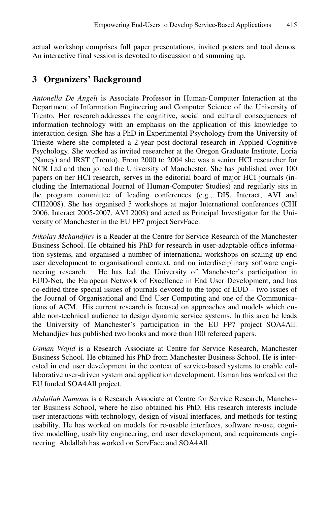actual workshop comprises full paper presentations, invited posters and tool demos. An interactive final session is devoted to discussion and summing up.

### **3 Organizers' Background**

*Antonella De Angeli* is Associate Professor in Human-Computer Interaction at the Department of Information Engineering and Computer Science of the University of Trento. Her research addresses the cognitive, social and cultural consequences of information technology with an emphasis on the application of this knowledge to interaction design. She has a PhD in Experimental Psychology from the University of Trieste where she completed a 2-year post-doctoral research in Applied Cognitive Psychology. She worked as invited researcher at the Oregon Graduate Institute, Loria (Nancy) and IRST (Trento). From 2000 to 2004 she was a senior HCI researcher for NCR Ltd and then joined the University of Manchester. She has published over 100 papers on her HCI research, serves in the editorial board of major HCI journals (including the International Journal of Human-Computer Studies) and regularly sits in the program committee of leading conferences (e.g., DIS, Interact, AVI and CHI2008). She has organised 5 workshops at major International conferences (CHI 2006, Interact 2005-2007, AVI 2008) and acted as Principal Investigator for the University of Manchester in the EU FP7 project ServFace.

*Nikolay Mehandjiev* is a Reader at the Centre for Service Research of the Manchester Business School. He obtained his PhD for research in user-adaptable office information systems, and organised a number of international workshops on scaling up end user development to organisational context, and on interdisciplinary software engineering research. He has led the University of Manchester's participation in EUD-Net, the European Network of Excellence in End User Development, and has co-edited three special issues of journals devoted to the topic of EUD – two issues of the Journal of Organisational and End User Computing and one of the Communications of ACM. His current research is focused on approaches and models which enable non-technical audience to design dynamic service systems. In this area he leads the University of Manchester's participation in the EU FP7 project SOA4All. Mehandjiev has published two books and more than 100 refereed papers.

*Usman Wajid* is a Research Associate at Centre for Service Research, Manchester Business School. He obtained his PhD from Manchester Business School. He is interested in end user development in the context of service-based systems to enable collaborative user-driven system and application development. Usman has worked on the EU funded SOA4All project.

*Abdallah Namoun* is a Research Associate at Centre for Service Research, Manchester Business School, where he also obtained his PhD. His research interests include user interactions with technology, design of visual interfaces, and methods for testing usability. He has worked on models for re-usable interfaces, software re-use, cognitive modelling, usability engineering, end user development, and requirements engineering. Abdallah has worked on ServFace and SOA4All.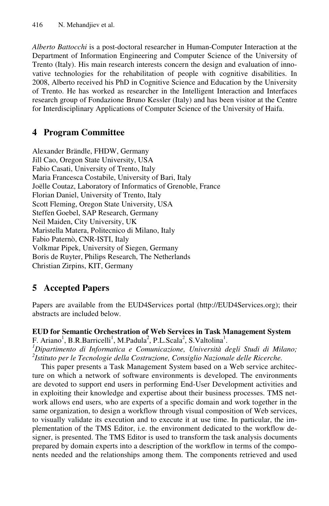*Alberto Battocchi* is a post-doctoral researcher in Human-Computer Interaction at the Department of Information Engineering and Computer Science of the University of Trento (Italy). His main research interests concern the design and evaluation of innovative technologies for the rehabilitation of people with cognitive disabilities. In 2008, Alberto received his PhD in Cognitive Science and Education by the University of Trento. He has worked as researcher in the Intelligent Interaction and Interfaces research group of Fondazione Bruno Kessler (Italy) and has been visitor at the Centre for Interdisciplinary Applications of Computer Science of the University of Haifa.

## **4 Program Committee**

Alexander Brändle, FHDW, Germany Jill Cao, Oregon State University, USA Fabio Casati, University of Trento, Italy Maria Francesca Costabile, University of Bari, Italy Joëlle Coutaz, Laboratory of Informatics of Grenoble, France Florian Daniel, University of Trento, Italy Scott Fleming, Oregon State University, USA Steffen Goebel, SAP Research, Germany Neil Maiden, City University, UK Maristella Matera, Politecnico di Milano, Italy Fabio Paternò, CNR-ISTI, Italy Volkmar Pipek, University of Siegen, Germany Boris de Ruyter, Philips Research, The Netherlands Christian Zirpins, KIT, Germany

## **5 Accepted Papers**

Papers are available from the EUD4Services portal (http://EUD4Services.org); their abstracts are included below.

## **EUD for Semantic Orchestration of Web Services in Task Management System**  F. Ariano<sup>1</sup>, B.R.Barricelli<sup>1</sup>, M.Padula<sup>2</sup>, P.L.Scala<sup>2</sup>, S.Valtolina<sup>1</sup>.<br><sup>*1*</sup> Dinastimente di Informatica e Comunicazione, Università d

*Dipartimento di Informatica e Comunicazione, Università degli Studi di Milano; 2 Istituto per le Tecnologie della Costruzione, Consiglio Nazionale delle Ricerche.* 

This paper presents a Task Management System based on a Web service architecture on which a network of software environments is developed. The environments are devoted to support end users in performing End-User Development activities and in exploiting their knowledge and expertise about their business processes. TMS network allows end users, who are experts of a specific domain and work together in the same organization, to design a workflow through visual composition of Web services, to visually validate its execution and to execute it at use time. In particular, the implementation of the TMS Editor, i.e. the environment dedicated to the workflow designer, is presented. The TMS Editor is used to transform the task analysis documents prepared by domain experts into a description of the workflow in terms of the components needed and the relationships among them. The components retrieved and used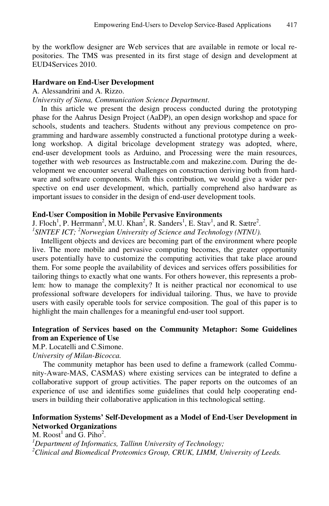by the workflow designer are Web services that are available in remote or local repositories. The TMS was presented in its first stage of design and development at EUD4Services 2010.

#### **Hardware on End-User Development**

A. Alessandrini and A. Rizzo.

*University of Siena, Communication Science Department*.

In this article we present the design process conducted during the prototyping phase for the Aahrus Design Project (AaDP), an open design workshop and space for schools, students and teachers. Students without any previous competence on programming and hardware assembly constructed a functional prototype during a weeklong workshop. A digital bricolage development strategy was adopted, where, end-user development tools as Arduino, and Processing were the main resources, together with web resources as Instructable.com and makezine.com. During the development we encounter several challenges on construction deriving both from hardware and software components. With this contribution, we would give a wider perspective on end user development, which, partially comprehend also hardware as important issues to consider in the design of end-user development tools.

#### **End-User Composition in Mobile Pervasive Environments**

J. Floch<sup>1</sup>, P. Herrmann<sup>2</sup>, M.U. Khan<sup>2</sup>, R. Sanders<sup>1</sup>, E. Stav<sup>1</sup>, and R. Sætre<sup>2</sup>.<br><sup>1</sup>SINTEE ICT: <sup>2</sup>Nonvegian University of Science and Technology (NTNU)

*SINTEF ICT; <sup>2</sup> Norwegian University of Science and Technology (NTNU).* 

Intelligent objects and devices are becoming part of the environment where people live. The more mobile and pervasive computing becomes, the greater opportunity users potentially have to customize the computing activities that take place around them. For some people the availability of devices and services offers possibilities for tailoring things to exactly what one wants. For others however, this represents a problem: how to manage the complexity? It is neither practical nor economical to use professional software developers for individual tailoring. Thus, we have to provide users with easily operable tools for service composition. The goal of this paper is to highlight the main challenges for a meaningful end-user tool support.

### **Integration of Services based on the Community Metaphor: Some Guidelines from an Experience of Use**

M.P. Locatelli and C.Simone.

*University of Milan-Bicocca.* 

The community metaphor has been used to define a framework (called Community-Aware-MAS, CASMAS) where existing services can be integrated to define a collaborative support of group activities. The paper reports on the outcomes of an experience of use and identifies some guidelines that could help cooperating endusers in building their collaborative application in this technological setting.

### **Information Systems' Self-Development as a Model of End-User Development in Networked Organizations**

M. Roost<sup>1</sup> and G. Piho<sup>2</sup>.<br><sup>*1*</sup> Department of Information *Department of Informatics, Tallinn University of Technology; 2 Clinical and Biomedical Proteomics Group, CRUK, LIMM, University of Leeds.*